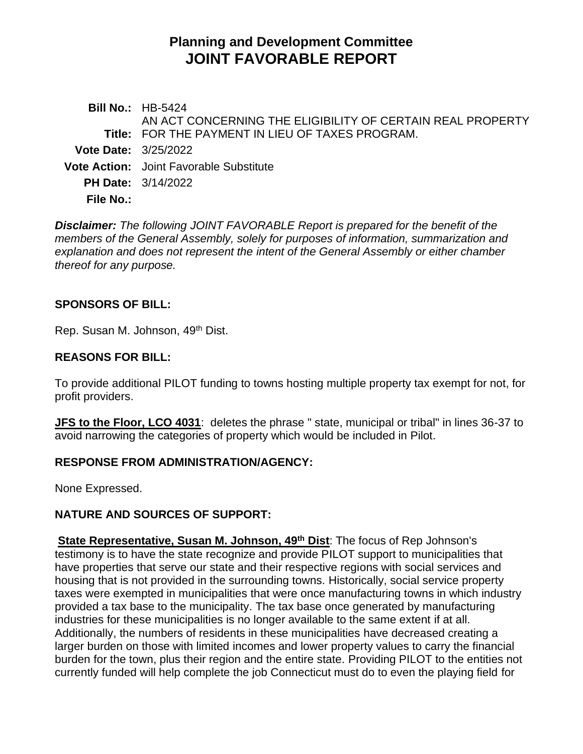# **Planning and Development Committee JOINT FAVORABLE REPORT**

**Bill No.:** HB-5424 **Title:** FOR THE PAYMENT IN LIEU OF TAXES PROGRAM. AN ACT CONCERNING THE ELIGIBILITY OF CERTAIN REAL PROPERTY **Vote Date:** 3/25/2022 **Vote Action:** Joint Favorable Substitute **PH Date:** 3/14/2022 **File No.:**

*Disclaimer: The following JOINT FAVORABLE Report is prepared for the benefit of the members of the General Assembly, solely for purposes of information, summarization and explanation and does not represent the intent of the General Assembly or either chamber thereof for any purpose.*

### **SPONSORS OF BILL:**

Rep. Susan M. Johnson, 49th Dist.

#### **REASONS FOR BILL:**

To provide additional PILOT funding to towns hosting multiple property tax exempt for not, for profit providers.

**JFS to the Floor, LCO 4031**: deletes the phrase " state, municipal or tribal" in lines 36-37 to avoid narrowing the categories of property which would be included in Pilot.

### **RESPONSE FROM ADMINISTRATION/AGENCY:**

None Expressed.

### **NATURE AND SOURCES OF SUPPORT:**

**State Representative, Susan M. Johnson, 49th Dist**: The focus of Rep Johnson's testimony is to have the state recognize and provide PILOT support to municipalities that have properties that serve our state and their respective regions with social services and housing that is not provided in the surrounding towns. Historically, social service property taxes were exempted in municipalities that were once manufacturing towns in which industry provided a tax base to the municipality. The tax base once generated by manufacturing industries for these municipalities is no longer available to the same extent if at all. Additionally, the numbers of residents in these municipalities have decreased creating a larger burden on those with limited incomes and lower property values to carry the financial burden for the town, plus their region and the entire state. Providing PILOT to the entities not currently funded will help complete the job Connecticut must do to even the playing field for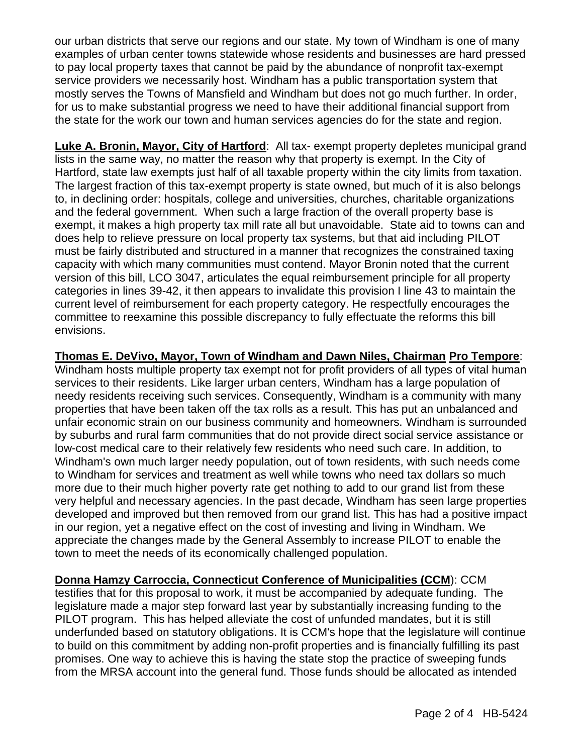our urban districts that serve our regions and our state. My town of Windham is one of many examples of urban center towns statewide whose residents and businesses are hard pressed to pay local property taxes that cannot be paid by the abundance of nonprofit tax-exempt service providers we necessarily host. Windham has a public transportation system that mostly serves the Towns of Mansfield and Windham but does not go much further. In order, for us to make substantial progress we need to have their additional financial support from the state for the work our town and human services agencies do for the state and region.

**Luke A. Bronin, Mayor, City of Hartford**: All tax- exempt property depletes municipal grand lists in the same way, no matter the reason why that property is exempt. In the City of Hartford, state law exempts just half of all taxable property within the city limits from taxation. The largest fraction of this tax-exempt property is state owned, but much of it is also belongs to, in declining order: hospitals, college and universities, churches, charitable organizations and the federal government. When such a large fraction of the overall property base is exempt, it makes a high property tax mill rate all but unavoidable. State aid to towns can and does help to relieve pressure on local property tax systems, but that aid including PILOT must be fairly distributed and structured in a manner that recognizes the constrained taxing capacity with which many communities must contend. Mayor Bronin noted that the current version of this bill, LCO 3047, articulates the equal reimbursement principle for all property categories in lines 39-42, it then appears to invalidate this provision I line 43 to maintain the current level of reimbursement for each property category. He respectfully encourages the committee to reexamine this possible discrepancy to fully effectuate the reforms this bill envisions.

### **Thomas E. DeVivo, Mayor, Town of Windham and Dawn Niles, Chairman Pro Tempore**:

Windham hosts multiple property tax exempt not for profit providers of all types of vital human services to their residents. Like larger urban centers, Windham has a large population of needy residents receiving such services. Consequently, Windham is a community with many properties that have been taken off the tax rolls as a result. This has put an unbalanced and unfair economic strain on our business community and homeowners. Windham is surrounded by suburbs and rural farm communities that do not provide direct social service assistance or low-cost medical care to their relatively few residents who need such care. In addition, to Windham's own much larger needy population, out of town residents, with such needs come to Windham for services and treatment as well while towns who need tax dollars so much more due to their much higher poverty rate get nothing to add to our grand list from these very helpful and necessary agencies. In the past decade, Windham has seen large properties developed and improved but then removed from our grand list. This has had a positive impact in our region, yet a negative effect on the cost of investing and living in Windham. We appreciate the changes made by the General Assembly to increase PILOT to enable the town to meet the needs of its economically challenged population.

**Donna Hamzy Carroccia, Connecticut Conference of Municipalities (CCM**): CCM testifies that for this proposal to work, it must be accompanied by adequate funding. The legislature made a major step forward last year by substantially increasing funding to the PILOT program. This has helped alleviate the cost of unfunded mandates, but it is still underfunded based on statutory obligations. It is CCM's hope that the legislature will continue to build on this commitment by adding non-profit properties and is financially fulfilling its past promises. One way to achieve this is having the state stop the practice of sweeping funds from the MRSA account into the general fund. Those funds should be allocated as intended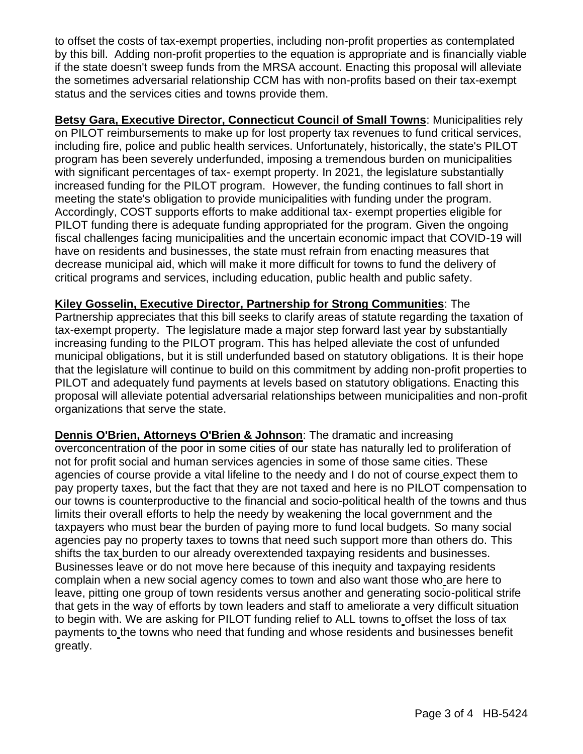to offset the costs of tax-exempt properties, including non-profit properties as contemplated by this bill. Adding non-profit properties to the equation is appropriate and is financially viable if the state doesn't sweep funds from the MRSA account. Enacting this proposal will alleviate the sometimes adversarial relationship CCM has with non-profits based on their tax-exempt status and the services cities and towns provide them.

**Betsy Gara, Executive Director, Connecticut Council of Small Towns**: Municipalities rely on PILOT reimbursements to make up for lost property tax revenues to fund critical services, including fire, police and public health services. Unfortunately, historically, the state's PILOT program has been severely underfunded, imposing a tremendous burden on municipalities with significant percentages of tax- exempt property. In 2021, the legislature substantially increased funding for the PILOT program. However, the funding continues to fall short in meeting the state's obligation to provide municipalities with funding under the program. Accordingly, COST supports efforts to make additional tax- exempt properties eligible for PILOT funding there is adequate funding appropriated for the program. Given the ongoing fiscal challenges facing municipalities and the uncertain economic impact that COVID-19 will have on residents and businesses, the state must refrain from enacting measures that decrease municipal aid, which will make it more difficult for towns to fund the delivery of critical programs and services, including education, public health and public safety.

**Kiley Gosselin, Executive Director, Partnership for Strong Communities**: The Partnership appreciates that this bill seeks to clarify areas of statute regarding the taxation of tax-exempt property. The legislature made a major step forward last year by substantially increasing funding to the PILOT program. This has helped alleviate the cost of unfunded municipal obligations, but it is still underfunded based on statutory obligations. It is their hope that the legislature will continue to build on this commitment by adding non-profit properties to PILOT and adequately fund payments at levels based on statutory obligations. Enacting this proposal will alleviate potential adversarial relationships between municipalities and non-profit organizations that serve the state.

**Dennis O'Brien, Attorneys O'Brien & Johnson**: The dramatic and increasing overconcentration of the poor in some cities of our state has naturally led to proliferation of not for profit social and human services agencies in some of those same cities. These agencies of course provide a vital lifeline to the needy and I do not of course expect them to pay property taxes, but the fact that they are not taxed and here is no PILOT compensation to our towns is counterproductive to the financial and socio-political health of the towns and thus limits their overall efforts to help the needy by weakening the local government and the taxpayers who must bear the burden of paying more to fund local budgets. So many social agencies pay no property taxes to towns that need such support more than others do. This shifts the tax burden to our already overextended taxpaying residents and businesses. Businesses leave or do not move here because of this inequity and taxpaying residents complain when a new social agency comes to town and also want those who are here to leave, pitting one group of town residents versus another and generating socio-political strife that gets in the way of efforts by town leaders and staff to ameliorate a very difficult situation to begin with. We are asking for PILOT funding relief to ALL towns to offset the loss of tax payments to the towns who need that funding and whose residents and businesses benefit greatly.